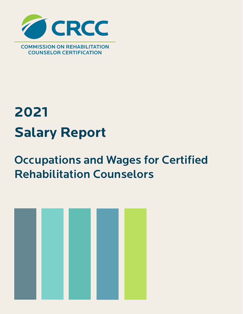

# **2021 Salary Report**

# Occupations and Wages for Certified Rehabilitation Counselors

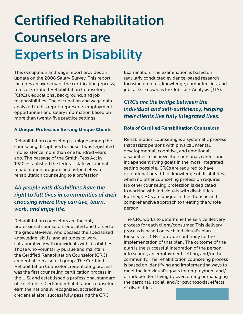# Certified Rehabilitation Counselors are Experts in Disability

This occupation and wage report provides an update on the 2008 Salary Survey. This report includes an overview of the certification process, roles of Certified Rehabilitation Counselors (CRCs), educational background, and job responsibilities. The occupation and wage data analyzed in this report represents employment opportunities and salary information based on more than twenty-five practice settings.

### **A Unique Profession Serving Unique Clients**

Rehabilitation counseling is unique among the counseling disciplines because it was legislated into existence more than one hundred years ago. The passage of the Smith-Fess Act in 1920 established the federal-state vocational rehabilitation program and helped elevate rehabilitation counseling to a profession.

# *All people with disabilities have the right to full lives in communities of their choosing where they can live, learn, work, and enjoy life.*

Rehabilitation counselors are the only professional counselors educated and trained at the graduate-level who possess the specialized knowledge, skills, and attitudes to work collaboratively with individuals with disabilities. Those who voluntarily pursue and maintain the Certified Rehabilitation Counselor (CRC) credential join a select group. The Certified Rehabilitation Counselor credentialing process was the first counseling certification process in the U.S. and established a professional standard of excellence. Certified rehabilitation counselors earn the nationally recognized, accredited credential after successfully passing the CRC

Examination. The examination is based on regularly conducted evidence-based research focusing on roles, knowledge, competencies, and job tasks, known as the Job Task Analysis (JTA).

# *CRCs are the bridge between the individual and self-sufficiency, helping their clients live fully integrated lives.*

#### **Role of Certified Rehabilitation Counselors**

Rehabilitation counseling is a systematic process that assists persons with physical, mental, developmental, cognitive, and emotional disabilities to achieve their personal, career, and independent living goals in the most integrated setting possible. CRCs are required to have exceptional breadth of knowledge of disabilities, which no other counseling profession requires. No other counseling profession is dedicated to working with individuals with disabilities. Further, CRCs are unique in their holistic and comprehensive approach to treating the whole person.

The CRC works to determine the service delivery process for each client/consumer. This delivery process is based on each individual's plan for services: CRCs provide continuity for the implementation of that plan. The outcome of the plan is the successful integration of the person into school, an employment setting, and/or the community. The rehabilitation counseling process is based on identifying and implementing ways to meet the individual's goals for employment and/ or independent living by overcoming or managing the personal, social, and/or psychosocial effects of disabilities.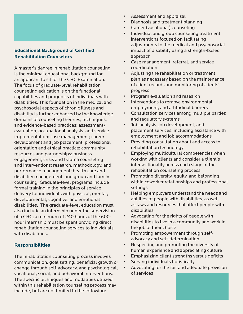

### **Educational Background of Certified Rehabilitation Counselors**

A master's degree in rehabilitation counseling is the minimal educational background for an applicant to sit for the CRC Examination. The focus of graduate-level rehabilitation counseling education is on the functional capabilities and prognosis of individuals with disabilities. This foundation in the medical and psychosocial aspects of chronic illness and disability is further enhanced by the knowledge domains of counseling theories, techniques, and evidence-based practices; assessment/ evaluation, occupational analysis, and service implementation; case management; career development and job placement; professional orientation and ethical practice; community resources and partnerships; business engagement; crisis and trauma counseling and interventions; research, methodology, and performance management; health care and disability management; and group and family counseling. Graduate-level programs include formal training in the principles of service delivery for individuals with physical, mental, developmental, cognitive, and emotional disabilities. The graduate-level education must also include an internship under the supervision of a CRC; a minimum of 240 hours of the 600 hour internship must be spent providing direct rehabilitation counseling services to individuals with disabilities.

### **Responsibilities**

The rehabilitation counseling process involves communication, goal setting, beneficial growth or change through self-advocacy, and psychological, vocational, social, and behavioral interventions. The specific techniques and modalities utilized within this rehabilitation counseling process may include, but are not limited to the following:

- Assessment and appraisal
- Diagnosis and treatment planning
- Career (vocational) counseling
- Individual and group counseling treatment interventions focused on facilitating adjustments to the medical and psychosocial impact of disability using a strength-based approach
- Case management, referral, and service coordination
- Adjusting the rehabilitation or treatment plan as necessary based on the maintenance of client records and monitoring of clients' progress
- Program evaluation and research
- Interventions to remove environmental, employment, and attitudinal barriers
- Consultation services among multiple parties and regulatory systems
- Job analysis, job development, and placement services, including assistance with employment and job accommodations
- Providing consultation about and access to rehabilitation technology
- Employing multicultural competencies when working with clients and consider a client's intersectionality across each stage of the rehabilitation counseling process
- Promoting diversity, equity, and belonging within coworker relationships and professional settings
- Helping employers understand the needs and abilities of people with disabilities, as well as laws and resources that affect people with disabilities
- Advocating for the rights of people with disabilities to live in a community and work in the job of their choice
- Promoting empowerment through selfadvocacy and self-determination
- Respecting and promoting the diversity of human experience and appreciating culture
- Emphasizing client strengths versus deficits
- Serving individuals holistically
- Advocating for the fair and adequate provision of services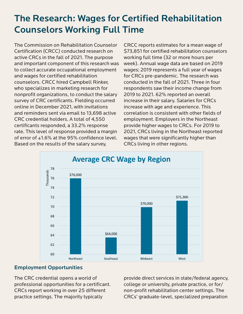# The Research: Wages for Certified Rehabilitation Counselors Working Full Time

The Commission on Rehabilitation Counselor Certification (CRCC) conducted research on active CRCs in the fall of 2021. The purpose and important component of this research was to collect accurate occupational employment and wages for certified rehabilitation counselors. CRCC hired Campbell Rinker, who specializes in marketing research for nonprofit organizations, to conduct the salary survey of CRC certificants. Fielding occurred online in December 2021, with invitations and reminders sent via email to 13,698 active CRC credential holders. A total of 4,550 certificants responded, a 33.2% response rate. This level of response provided a margin of error of  $\pm 1.6\%$  at the 95% confidence level. Based on the results of the salary survey,

CRCC reports estimates for a mean wage of \$73,851 for certified rehabilitation counselors working full time (32 or more hours per week). Annual wage data are based on 2019 wages; 2019 represents a full year of wages for CRCs pre-pandemic. The research was conducted in the fall of 2021. Three in four respondents saw their income change from 2019 to 2021. 62% reported an overall increase in their salary. Salaries for CRCs increase with age and experience. This correlation is consistent with other fields of employment. Employers in the Northeast provide higher wages to CRCs. For 2019 to 2021, CRCs living in the Northeast reported wages that were significantly higher than CRCs living in other regions.



## Employment Opportunities

The CRC credential opens a world of professional opportunities for a certificant. CRCs report working in over 25 different practice settings. The majority typically

provide direct services in state/federal agency, college or university, private practice, or for/ non-profit rehabilitation center settings. The CRCs' graduate-level, specialized preparation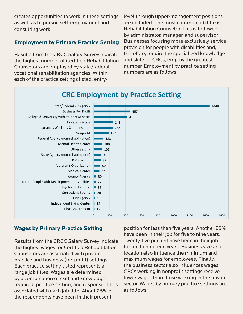creates opportunities to work in these settings as well as to pursue self-employment and consulting work.

# **Employment by Primary Practice Setting**

Results from the CRCC Salary Survey indicate the highest number of Certified Rehabilitation Counselors are employed by state/federal vocational rehabilitation agencies. Within each of the practice settings listed, entrylevel through upper-management positions are included. The most common job title is Rehabilitation Counselor. This is followed by administrator, manager, and supervisor. Businesses focusing more exclusively service provision for people with disabilities and, therefore, require the specialized knowledge and skills of CRCs, employ the greatest number. Employment by practice setting numbers are as follows:



## **Wages by Primary Practice Setting**

Results from the CRCC Salary Survey indicate the highest wages for Certified Rehabilitation Counselors are associated with private practice and business (for-profit) settings. Each practice setting listed represents a range job titles. Wages are determined by a combination of skill and knowledge required, practice setting, and responsibilities associated with each job title. About 25% of the respondents have been in their present

position for less than five years. Another 23% have been in their job for five to nine years. Twenty-five percent have been in their job for ten to nineteen years. Business size and location also influence the minimum and maximum wages for employees. Finally, the business sector also influences wages; CRCs working in nonprofit settings receive lower wages than those working in the private sector. Wages by primary practice settings are as follows: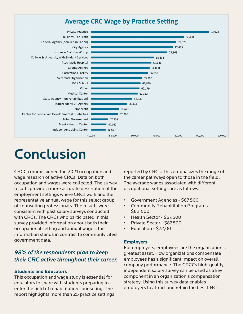# **Average CRC Wage by Practice Setting**



# Conclusion

CRCC commissioned the 2021 occupation and wage research of active CRCs. Data on both occupation and wages were collected. The survey results provide a more accurate description of the employment settings where CRCs work and the representative annual wage for this select group of counseling professionals. The results were consistent with past salary surveys conducted with CRCs. The CRCs who participated in this survey provided information about both their occupational setting and annual wages; this information stands in contrast to commonly cited government data.

# *98% of the respondents plan to keep their CRC active throughout their career.*

#### **Students and Educators**

This occupation and wage study is essential for educators to share with students preparing to enter the field of rehabilitation counseling. The report highlights more than 25 practice settings reported by CRCs. This emphasizes the range of the career pathways open to those in the field. The average wages associated with different occupational settings are as follows:

- Government Agencies \$67,500
- Community Rehabilitation Programs \$62,500
- Health Sector \$67,500
- Private Sector \$87,500
- Education \$72,00

#### **Employers**

For employers, employees are the organization's greatest asset. How organizations compensate employees has a significant impact on overall company performance. The CRCCs high-quality, independent salary survey can be used as a key component in an organization's compensation strategy. Using this survey data enables employers to attract and retain the best CRCs.